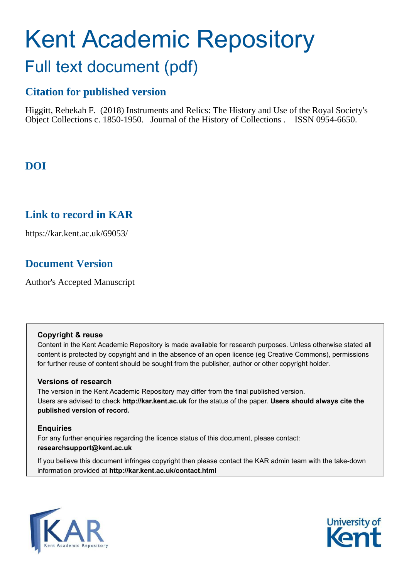# Kent Academic Repository Full text document (pdf)

# **Citation for published version**

Higgitt, Rebekah F. (2018) Instruments and Relics: The History and Use of the Royal Society's Object Collections c. 1850-1950. Journal of the History of Collections . ISSN 0954-6650.

# **DOI**

## **Link to record in KAR**

https://kar.kent.ac.uk/69053/

# **Document Version**

Author's Accepted Manuscript

## **Copyright & reuse**

Content in the Kent Academic Repository is made available for research purposes. Unless otherwise stated all content is protected by copyright and in the absence of an open licence (eg Creative Commons), permissions for further reuse of content should be sought from the publisher, author or other copyright holder.

## **Versions of research**

The version in the Kent Academic Repository may differ from the final published version. Users are advised to check **http://kar.kent.ac.uk** for the status of the paper. **Users should always cite the published version of record.**

## **Enquiries**

For any further enquiries regarding the licence status of this document, please contact: **researchsupport@kent.ac.uk**

If you believe this document infringes copyright then please contact the KAR admin team with the take-down information provided at **http://kar.kent.ac.uk/contact.html**



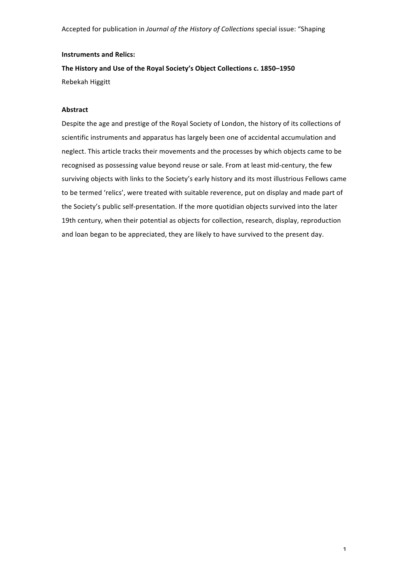#### **Instruments and Relics:**

The History and Use of the Royal Society's Object Collections c. 1850-1950 Rebekah Higgitt

#### **Abstract**

Despite the age and prestige of the Royal Society of London, the history of its collections of scientific instruments and apparatus has largely been one of accidental accumulation and neglect. This article tracks their movements and the processes by which objects came to be recognised as possessing value beyond reuse or sale. From at least mid-century, the few surviving objects with links to the Society's early history and its most illustrious Fellows came to be termed 'relics', were treated with suitable reverence, put on display and made part of the Society's public self-presentation. If the more quotidian objects survived into the later 19th century, when their potential as objects for collection, research, display, reproduction and loan began to be appreciated, they are likely to have survived to the present day.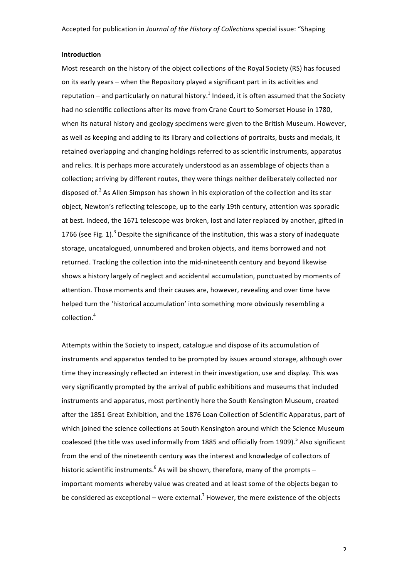#### **Introduction**

Most research on the history of the object collections of the Royal Society (RS) has focused on its early years – when the Repository played a significant part in its activities and reputation – and particularly on natural history.<sup>1</sup> Indeed, it is often assumed that the Society had no scientific collections after its move from Crane Court to Somerset House in 1780, when its natural history and geology specimens were given to the British Museum. However, as well as keeping and adding to its library and collections of portraits, busts and medals, it retained overlapping and changing holdings referred to as scientific instruments, apparatus and relics. It is perhaps more accurately understood as an assemblage of objects than a collection; arriving by different routes, they were things neither deliberately collected nor disposed of.<sup>2</sup> As Allen Simpson has shown in his exploration of the collection and its star object, Newton's reflecting telescope, up to the early 19th century, attention was sporadic at best. Indeed, the 1671 telescope was broken, lost and later replaced by another, gifted in 1766 (see Fig. 1).<sup>3</sup> Despite the significance of the institution, this was a story of inadequate storage, uncatalogued, unnumbered and broken objects, and items borrowed and not returned. Tracking the collection into the mid-nineteenth century and beyond likewise shows a history largely of neglect and accidental accumulation, punctuated by moments of attention. Those moments and their causes are, however, revealing and over time have helped turn the 'historical accumulation' into something more obviously resembling a collection.<sup>4</sup>

Attempts within the Society to inspect, catalogue and dispose of its accumulation of instruments and apparatus tended to be prompted by issues around storage, although over time they increasingly reflected an interest in their investigation, use and display. This was very significantly prompted by the arrival of public exhibitions and museums that included instruments and apparatus, most pertinently here the South Kensington Museum, created after the 1851 Great Exhibition, and the 1876 Loan Collection of Scientific Apparatus, part of which joined the science collections at South Kensington around which the Science Museum coalesced (the title was used informally from 1885 and officially from 1909).<sup>5</sup> Also significant from the end of the nineteenth century was the interest and knowledge of collectors of historic scientific instruments.<sup>6</sup> As will be shown, therefore, many of the prompts – important moments whereby value was created and at least some of the objects began to be considered as exceptional – were external.<sup>7</sup> However, the mere existence of the objects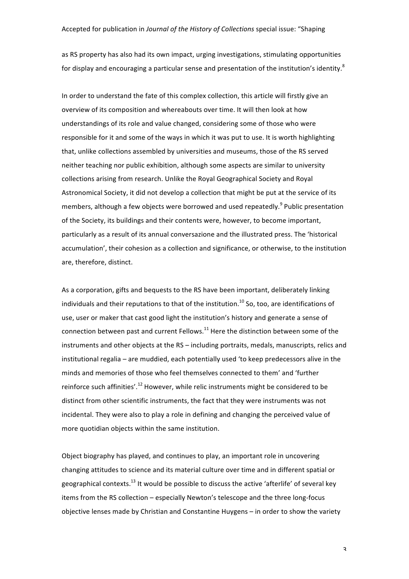as RS property has also had its own impact, urging investigations, stimulating opportunities for display and encouraging a particular sense and presentation of the institution's identity.<sup>8</sup>

In order to understand the fate of this complex collection, this article will firstly give an overview of its composition and whereabouts over time. It will then look at how understandings of its role and value changed, considering some of those who were responsible for it and some of the ways in which it was put to use. It is worth highlighting that, unlike collections assembled by universities and museums, those of the RS served neither teaching nor public exhibition, although some aspects are similar to university collections arising from research. Unlike the Royal Geographical Society and Royal Astronomical Society, it did not develop a collection that might be put at the service of its members, although a few objects were borrowed and used repeatedly.<sup>9</sup> Public presentation of the Society, its buildings and their contents were, however, to become important, particularly as a result of its annual conversazione and the illustrated press. The 'historical accumulation', their cohesion as a collection and significance, or otherwise, to the institution are, therefore, distinct.

As a corporation, gifts and bequests to the RS have been important, deliberately linking individuals and their reputations to that of the institution.<sup>10</sup> So, too, are identifications of use, user or maker that cast good light the institution's history and generate a sense of connection between past and current Fellows.<sup>11</sup> Here the distinction between some of the instruments and other objects at the RS – including portraits, medals, manuscripts, relics and institutional regalia – are muddied, each potentially used 'to keep predecessors alive in the minds and memories of those who feel themselves connected to them' and 'further reinforce such affinities'.<sup>12</sup> However, while relic instruments might be considered to be distinct from other scientific instruments, the fact that they were instruments was not incidental. They were also to play a role in defining and changing the perceived value of more quotidian objects within the same institution.

Object biography has played, and continues to play, an important role in uncovering changing attitudes to science and its material culture over time and in different spatial or geographical contexts.<sup>13</sup> It would be possible to discuss the active 'afterlife' of several key items from the RS collection – especially Newton's telescope and the three long-focus objective lenses made by Christian and Constantine Huygens - in order to show the variety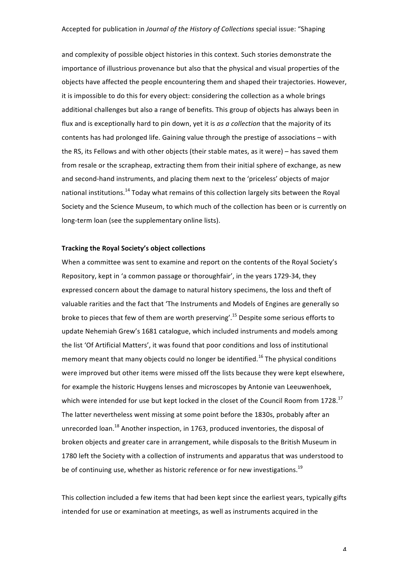and complexity of possible object histories in this context. Such stories demonstrate the importance of illustrious provenance but also that the physical and visual properties of the objects have affected the people encountering them and shaped their trajectories. However, it is impossible to do this for every object: considering the collection as a whole brings additional challenges but also a range of benefits. This group of objects has always been in flux and is exceptionally hard to pin down, yet it is as a collection that the majority of its contents has had prolonged life. Gaining value through the prestige of associations – with the RS, its Fellows and with other objects (their stable mates, as it were) – has saved them from resale or the scrapheap, extracting them from their initial sphere of exchange, as new and second-hand instruments, and placing them next to the 'priceless' objects of major national institutions.<sup>14</sup> Today what remains of this collection largely sits between the Royal Society and the Science Museum, to which much of the collection has been or is currently on long-term loan (see the supplementary online lists).

#### **Tracking the Royal Society's object collections**

When a committee was sent to examine and report on the contents of the Royal Society's Repository, kept in 'a common passage or thoroughfair', in the years 1729-34, they expressed concern about the damage to natural history specimens, the loss and theft of valuable rarities and the fact that 'The Instruments and Models of Engines are generally so broke to pieces that few of them are worth preserving'.<sup>15</sup> Despite some serious efforts to update Nehemiah Grew's 1681 catalogue, which included instruments and models among the list 'Of Artificial Matters', it was found that poor conditions and loss of institutional memory meant that many objects could no longer be identified.<sup>16</sup> The physical conditions were improved but other items were missed off the lists because they were kept elsewhere, for example the historic Huygens lenses and microscopes by Antonie van Leeuwenhoek, which were intended for use but kept locked in the closet of the Council Room from 1728.<sup>17</sup> The latter nevertheless went missing at some point before the 1830s, probably after an unrecorded  $\lambda$  loan.<sup>18</sup> Another inspection, in 1763, produced inventories, the disposal of broken objects and greater care in arrangement, while disposals to the British Museum in 1780 left the Society with a collection of instruments and apparatus that was understood to be of continuing use, whether as historic reference or for new investigations.<sup>19</sup>

This collection included a few items that had been kept since the earliest years, typically gifts intended for use or examination at meetings, as well as instruments acquired in the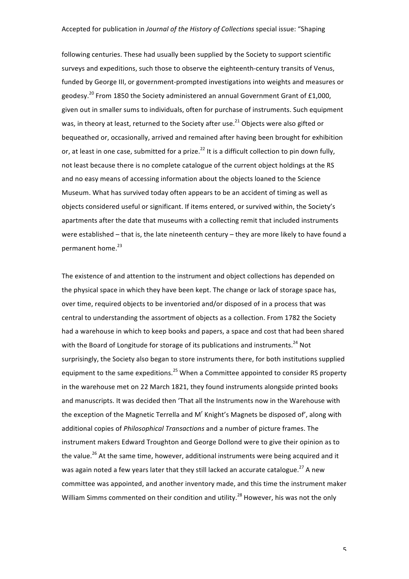following centuries. These had usually been supplied by the Society to support scientific surveys and expeditions, such those to observe the eighteenth-century transits of Venus, funded by George III, or government-prompted investigations into weights and measures or geodesy.<sup>20</sup> From 1850 the Society administered an annual Government Grant of £1,000, given out in smaller sums to individuals, often for purchase of instruments. Such equipment was, in theory at least, returned to the Society after use.<sup>21</sup> Objects were also gifted or bequeathed or, occasionally, arrived and remained after having been brought for exhibition or, at least in one case, submitted for a prize.<sup>22</sup> It is a difficult collection to pin down fully, not least because there is no complete catalogue of the current object holdings at the RS and no easy means of accessing information about the objects loaned to the Science Museum. What has survived today often appears to be an accident of timing as well as objects considered useful or significant. If items entered, or survived within, the Society's apartments after the date that museums with a collecting remit that included instruments were established  $-$  that is, the late nineteenth century  $-$  they are more likely to have found a permanent home.<sup>23</sup>

The existence of and attention to the instrument and object collections has depended on the physical space in which they have been kept. The change or lack of storage space has, over time, required objects to be inventoried and/or disposed of in a process that was central to understanding the assortment of objects as a collection. From 1782 the Society had a warehouse in which to keep books and papers, a space and cost that had been shared with the Board of Longitude for storage of its publications and instruments.<sup>24</sup> Not surprisingly, the Society also began to store instruments there, for both institutions supplied equipment to the same expeditions.<sup>25</sup> When a Committee appointed to consider RS property in the warehouse met on 22 March 1821, they found instruments alongside printed books and manuscripts. It was decided then 'That all the Instruments now in the Warehouse with the exception of the Magnetic Terrella and M' Knight's Magnets be disposed of', along with additional copies of *Philosophical Transactions* and a number of picture frames. The instrument makers Edward Troughton and George Dollond were to give their opinion as to the value.<sup>26</sup> At the same time, however, additional instruments were being acquired and it was again noted a few years later that they still lacked an accurate catalogue.<sup>27</sup> A new committee was appointed, and another inventory made, and this time the instrument maker William Simms commented on their condition and utility.<sup>28</sup> However, his was not the only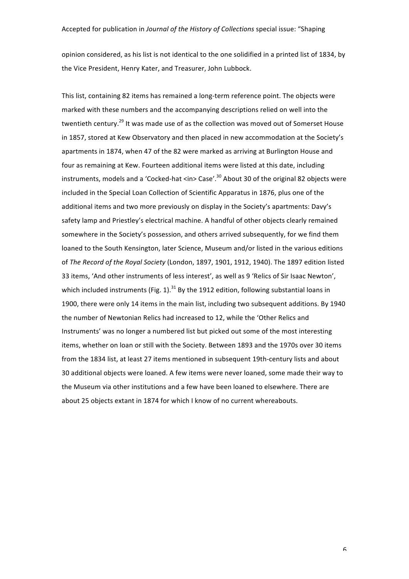opinion considered, as his list is not identical to the one solidified in a printed list of 1834, by the Vice President, Henry Kater, and Treasurer, John Lubbock.

This list, containing 82 items has remained a long-term reference point. The objects were marked with these numbers and the accompanying descriptions relied on well into the twentieth century.<sup>29</sup> It was made use of as the collection was moved out of Somerset House in 1857, stored at Kew Observatory and then placed in new accommodation at the Society's apartments in 1874, when 47 of the 82 were marked as arriving at Burlington House and four as remaining at Kew. Fourteen additional items were listed at this date, including instruments, models and a 'Cocked-hat <in> Case'. $^{30}$  About 30 of the original 82 objects were included in the Special Loan Collection of Scientific Apparatus in 1876, plus one of the additional items and two more previously on display in the Society's apartments: Davy's safety lamp and Priestley's electrical machine. A handful of other objects clearly remained somewhere in the Society's possession, and others arrived subsequently, for we find them loaned to the South Kensington, later Science, Museum and/or listed in the various editions of *The Record of the Royal Society* (London, 1897, 1901, 1912, 1940). The 1897 edition listed 33 items, 'And other instruments of less interest', as well as 9 'Relics of Sir Isaac Newton', which included instruments (Fig. 1). $^{31}$  By the 1912 edition, following substantial loans in 1900, there were only 14 items in the main list, including two subsequent additions. By 1940 the number of Newtonian Relics had increased to 12, while the 'Other Relics and Instruments' was no longer a numbered list but picked out some of the most interesting items, whether on loan or still with the Society. Between 1893 and the 1970s over 30 items from the 1834 list, at least 27 items mentioned in subsequent 19th-century lists and about 30 additional objects were loaned. A few items were never loaned, some made their way to the Museum via other institutions and a few have been loaned to elsewhere. There are about 25 objects extant in 1874 for which I know of no current whereabouts.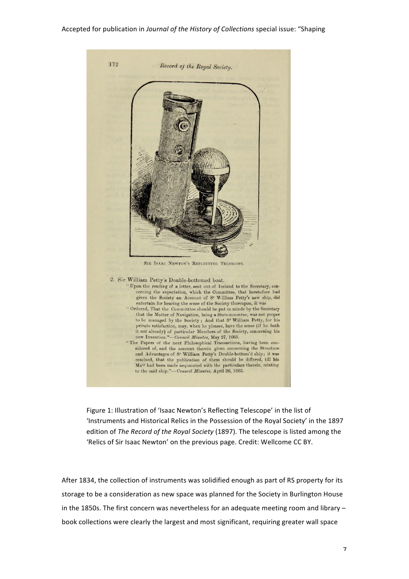

Figure 1: Illustration of 'Isaac Newton's Reflecting Telescope' in the list of 'Instruments and Historical Relics in the Possession of the Royal Society' in the 1897 edition of *The Record of the Royal Society* (1897). The telescope is listed among the 'Relics of Sir Isaac Newton' on the previous page. Credit: Wellcome CC BY.

After 1834, the collection of instruments was solidified enough as part of RS property for its storage to be a consideration as new space was planned for the Society in Burlington House in the 1850s. The first concern was nevertheless for an adequate meeting room and library  $$ book collections were clearly the largest and most significant, requiring greater wall space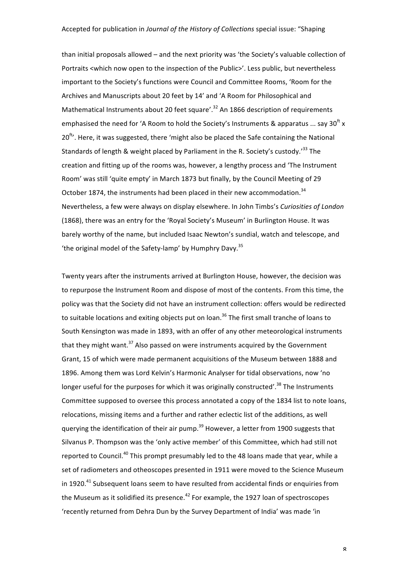than initial proposals allowed – and the next priority was 'the Society's valuable collection of Portraits <which now open to the inspection of the Public>'. Less public, but nevertheless important to the Society's functions were Council and Committee Rooms, 'Room for the Archives and Manuscripts about 20 feet by 14' and 'A Room for Philosophical and Mathematical Instruments about 20 feet square'.<sup>32</sup> An 1866 description of requirements emphasised the need for 'A Room to hold the Society's Instruments & apparatus ... say 30<sup>ft</sup> x  $20<sup>ft</sup>$ . Here, it was suggested, there 'might also be placed the Safe containing the National Standards of length & weight placed by Parliament in the R. Society's custody.<sup>133</sup> The creation and fitting up of the rooms was, however, a lengthy process and 'The Instrument Room' was still 'quite empty' in March 1873 but finally, by the Council Meeting of 29 October 1874, the instruments had been placed in their new accommodation.<sup>34</sup> Nevertheless, a few were always on display elsewhere. In John Timbs's *Curiosities of London* (1868), there was an entry for the 'Royal Society's Museum' in Burlington House. It was barely worthy of the name, but included Isaac Newton's sundial, watch and telescope, and 'the original model of the Safety-lamp' by Humphry Davy.<sup>35</sup>

Twenty years after the instruments arrived at Burlington House, however, the decision was to repurpose the Instrument Room and dispose of most of the contents. From this time, the policy was that the Society did not have an instrument collection: offers would be redirected to suitable locations and exiting objects put on loan.<sup>36</sup> The first small tranche of loans to South Kensington was made in 1893, with an offer of any other meteorological instruments that they might want.<sup>37</sup> Also passed on were instruments acquired by the Government Grant, 15 of which were made permanent acquisitions of the Museum between 1888 and 1896. Among them was Lord Kelvin's Harmonic Analyser for tidal observations, now 'no longer useful for the purposes for which it was originally constructed'.<sup>38</sup> The Instruments Committee supposed to oversee this process annotated a copy of the 1834 list to note loans, relocations, missing items and a further and rather eclectic list of the additions, as well querying the identification of their air pump.<sup>39</sup> However, a letter from 1900 suggests that Silvanus P. Thompson was the 'only active member' of this Committee, which had still not reported to Council.<sup>40</sup> This prompt presumably led to the 48 loans made that year, while a set of radiometers and otheoscopes presented in 1911 were moved to the Science Museum in 1920.<sup>41</sup> Subsequent loans seem to have resulted from accidental finds or enquiries from the Museum as it solidified its presence. $42$  For example, the 1927 loan of spectroscopes 'recently returned from Dehra Dun by the Survey Department of India' was made 'in

 $\pmb{\mathsf{R}}$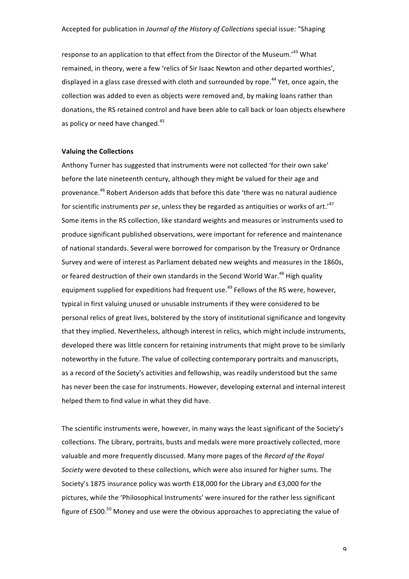response to an application to that effect from the Director of the Museum.'<sup>43</sup> What remained, in theory, were a few 'relics of Sir Isaac Newton and other departed worthies', displayed in a glass case dressed with cloth and surrounded by rope.<sup>44</sup> Yet, once again, the collection was added to even as objects were removed and, by making loans rather than donations, the RS retained control and have been able to call back or loan objects elsewhere as policy or need have changed.<sup>45</sup>

#### **Valuing the Collections**

Anthony Turner has suggested that instruments were not collected 'for their own sake' before the late nineteenth century, although they might be valued for their age and provenance.<sup>46</sup> Robert Anderson adds that before this date 'there was no natural audience for scientific instruments *per se*, unless they be regarded as antiquities or works of art.'<sup>47</sup> Some items in the RS collection, like standard weights and measures or instruments used to produce significant published observations, were important for reference and maintenance of national standards. Several were borrowed for comparison by the Treasury or Ordnance Survey and were of interest as Parliament debated new weights and measures in the 1860s, or feared destruction of their own standards in the Second World War.<sup>48</sup> High quality equipment supplied for expeditions had frequent use.<sup>49</sup> Fellows of the RS were, however, typical in first valuing unused or unusable instruments if they were considered to be personal relics of great lives, bolstered by the story of institutional significance and longevity that they implied. Nevertheless, although interest in relics, which might include instruments, developed there was little concern for retaining instruments that might prove to be similarly noteworthy in the future. The value of collecting contemporary portraits and manuscripts, as a record of the Society's activities and fellowship, was readily understood but the same has never been the case for instruments. However, developing external and internal interest helped them to find value in what they did have.

The scientific instruments were, however, in many ways the least significant of the Society's collections. The Library, portraits, busts and medals were more proactively collected, more valuable and more frequently discussed. Many more pages of the *Record of the Royal* Society were devoted to these collections, which were also insured for higher sums. The Society's 1875 insurance policy was worth £18,000 for the Library and £3,000 for the pictures, while the 'Philosophical Instruments' were insured for the rather less significant figure of £500. $^{50}$  Money and use were the obvious approaches to appreciating the value of

 $\mathsf q$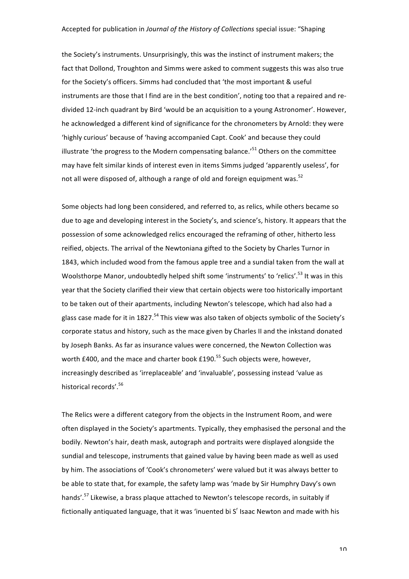the Society's instruments. Unsurprisingly, this was the instinct of instrument makers; the fact that Dollond, Troughton and Simms were asked to comment suggests this was also true for the Society's officers. Simms had concluded that 'the most important & useful instruments are those that I find are in the best condition', noting too that a repaired and redivided 12-inch quadrant by Bird 'would be an acquisition to a young Astronomer'. However, he acknowledged a different kind of significance for the chronometers by Arnold: they were 'highly curious' because of 'having accompanied Capt. Cook' and because they could illustrate 'the progress to the Modern compensating balance.'<sup>51</sup> Others on the committee may have felt similar kinds of interest even in items Simms judged 'apparently useless', for not all were disposed of, although a range of old and foreign equipment was.<sup>52</sup>

Some objects had long been considered, and referred to, as relics, while others became so due to age and developing interest in the Society's, and science's, history. It appears that the possession of some acknowledged relics encouraged the reframing of other, hitherto less reified, objects. The arrival of the Newtoniana gifted to the Society by Charles Turnor in 1843, which included wood from the famous apple tree and a sundial taken from the wall at Woolsthorpe Manor, undoubtedly helped shift some 'instruments' to 'relics'.<sup>53</sup> It was in this year that the Society clarified their view that certain objects were too historically important to be taken out of their apartments, including Newton's telescope, which had also had a glass case made for it in 1827.<sup>54</sup> This view was also taken of objects symbolic of the Society's corporate status and history, such as the mace given by Charles II and the inkstand donated by Joseph Banks. As far as insurance values were concerned, the Newton Collection was worth £400, and the mace and charter book  $£190.<sup>55</sup>$  Such objects were, however, increasingly described as 'irreplaceable' and 'invaluable', possessing instead 'value as historical records'.<sup>56</sup>

The Relics were a different category from the objects in the Instrument Room, and were often displayed in the Society's apartments. Typically, they emphasised the personal and the bodily. Newton's hair, death mask, autograph and portraits were displayed alongside the sundial and telescope, instruments that gained value by having been made as well as used by him. The associations of 'Cook's chronometers' were valued but it was always better to be able to state that, for example, the safety lamp was 'made by Sir Humphry Davy's own hands'.<sup>57</sup> Likewise, a brass plaque attached to Newton's telescope records, in suitably if fictionally antiquated language, that it was 'inuented bi  $S<sup>r</sup>$  Isaac Newton and made with his

 $1<sub>0</sub>$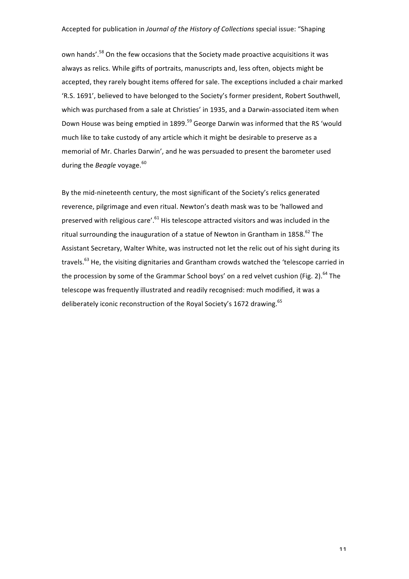own hands'.<sup>58</sup> On the few occasions that the Society made proactive acquisitions it was always as relics. While gifts of portraits, manuscripts and, less often, objects might be accepted, they rarely bought items offered for sale. The exceptions included a chair marked 'R.S. 1691', believed to have belonged to the Society's former president, Robert Southwell, which was purchased from a sale at Christies' in 1935, and a Darwin-associated item when Down House was being emptied in 1899.<sup>59</sup> George Darwin was informed that the RS 'would much like to take custody of any article which it might be desirable to preserve as a memorial of Mr. Charles Darwin', and he was persuaded to present the barometer used during the *Beagle* voyage.<sup>60</sup>

By the mid-nineteenth century, the most significant of the Society's relics generated reverence, pilgrimage and even ritual. Newton's death mask was to be 'hallowed and preserved with religious care'.<sup>61</sup> His telescope attracted visitors and was included in the ritual surrounding the inauguration of a statue of Newton in Grantham in 1858.<sup>62</sup> The Assistant Secretary, Walter White, was instructed not let the relic out of his sight during its travels.<sup>63</sup> He, the visiting dignitaries and Grantham crowds watched the 'telescope carried in the procession by some of the Grammar School boys' on a red velvet cushion (Fig. 2).<sup>64</sup> The telescope was frequently illustrated and readily recognised: much modified, it was a deliberately iconic reconstruction of the Royal Society's 1672 drawing.<sup>65</sup>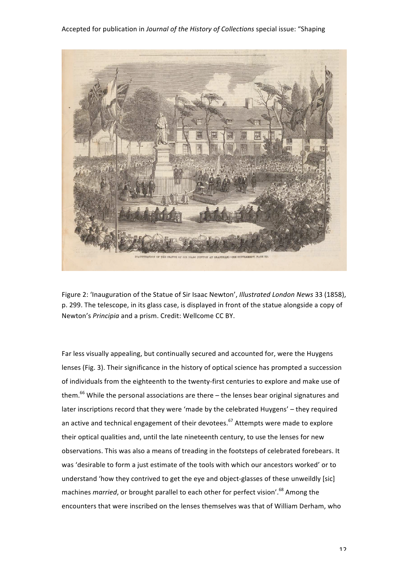

Figure 2: 'Inauguration of the Statue of Sir Isaac Newton', *Illustrated London News* 33 (1858), p. 299. The telescope, in its glass case, is displayed in front of the statue alongside a copy of Newton's *Principia* and a prism. Credit: Wellcome CC BY.

Far less visually appealing, but continually secured and accounted for, were the Huygens lenses (Fig. 3). Their significance in the history of optical science has prompted a succession of individuals from the eighteenth to the twenty-first centuries to explore and make use of them. $^{66}$  While the personal associations are there  $-$  the lenses bear original signatures and later inscriptions record that they were 'made by the celebrated Huygens' – they required an active and technical engagement of their devotees.<sup>67</sup> Attempts were made to explore their optical qualities and, until the late nineteenth century, to use the lenses for new observations. This was also a means of treading in the footsteps of celebrated forebears. It was 'desirable to form a just estimate of the tools with which our ancestors worked' or to understand 'how they contrived to get the eye and object-glasses of these unweildly [sic] machines *married*, or brought parallel to each other for perfect vision'.<sup>68</sup> Among the encounters that were inscribed on the lenses themselves was that of William Derham, who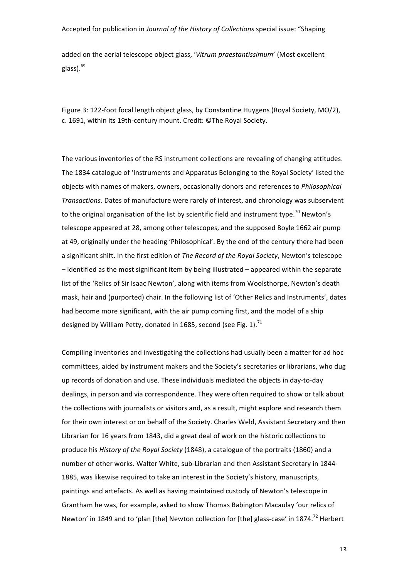added on the aerial telescope object glass, 'Vitrum praestantissimum' (Most excellent glass).<sup>69</sup>

Figure 3: 122-foot focal length object glass, by Constantine Huygens (Royal Society, MO/2), c. 1691, within its 19th-century mount. Credit: ©The Royal Society.

The various inventories of the RS instrument collections are revealing of changing attitudes. The 1834 catalogue of 'Instruments and Apparatus Belonging to the Royal Society' listed the objects with names of makers, owners, occasionally donors and references to *Philosophical Transactions*. Dates of manufacture were rarely of interest, and chronology was subservient to the original organisation of the list by scientific field and instrument type.<sup>70</sup> Newton's telescope appeared at 28, among other telescopes, and the supposed Boyle 1662 air pump at 49, originally under the heading 'Philosophical'. By the end of the century there had been a significant shift. In the first edition of *The Record of the Royal Society*, Newton's telescope  $-$  identified as the most significant item by being illustrated  $-$  appeared within the separate list of the 'Relics of Sir Isaac Newton', along with items from Woolsthorpe, Newton's death mask, hair and (purported) chair. In the following list of 'Other Relics and Instruments', dates had become more significant, with the air pump coming first, and the model of a ship designed by William Petty, donated in 1685, second (see Fig. 1).<sup>71</sup>

Compiling inventories and investigating the collections had usually been a matter for ad hoc committees, aided by instrument makers and the Society's secretaries or librarians, who dug up records of donation and use. These individuals mediated the objects in day-to-day dealings, in person and via correspondence. They were often required to show or talk about the collections with journalists or visitors and, as a result, might explore and research them for their own interest or on behalf of the Society. Charles Weld, Assistant Secretary and then Librarian for 16 years from 1843, did a great deal of work on the historic collections to produce his *History of the Royal Society* (1848), a catalogue of the portraits (1860) and a number of other works. Walter White, sub-Librarian and then Assistant Secretary in 1844-1885, was likewise required to take an interest in the Society's history, manuscripts, paintings and artefacts. As well as having maintained custody of Newton's telescope in Grantham he was, for example, asked to show Thomas Babington Macaulay 'our relics of Newton' in 1849 and to 'plan [the] Newton collection for [the] glass-case' in 1874.<sup>72</sup> Herbert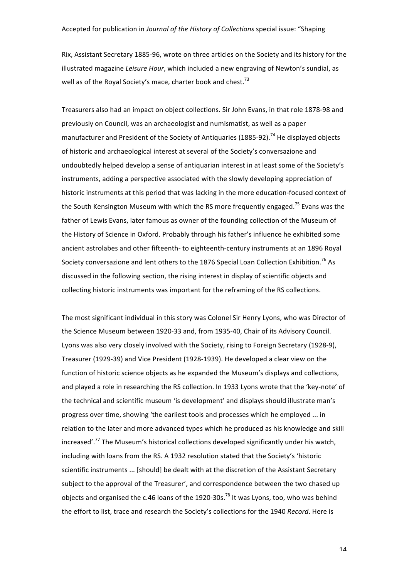Rix, Assistant Secretary 1885-96, wrote on three articles on the Society and its history for the illustrated magazine *Leisure Hour*, which included a new engraving of Newton's sundial, as well as of the Royal Society's mace, charter book and chest.<sup>73</sup>

Treasurers also had an impact on object collections. Sir John Evans, in that role 1878-98 and previously on Council, was an archaeologist and numismatist, as well as a paper manufacturer and President of the Society of Antiquaries (1885-92).<sup>74</sup> He displayed objects of historic and archaeological interest at several of the Society's conversazione and undoubtedly helped develop a sense of antiquarian interest in at least some of the Society's instruments, adding a perspective associated with the slowly developing appreciation of historic instruments at this period that was lacking in the more education-focused context of the South Kensington Museum with which the RS more frequently engaged.<sup>75</sup> Evans was the father of Lewis Evans, later famous as owner of the founding collection of the Museum of the History of Science in Oxford. Probably through his father's influence he exhibited some ancient astrolabes and other fifteenth- to eighteenth-century instruments at an 1896 Royal Society conversazione and lent others to the 1876 Special Loan Collection Exhibition.<sup>76</sup> As discussed in the following section, the rising interest in display of scientific objects and collecting historic instruments was important for the reframing of the RS collections.

The most significant individual in this story was Colonel Sir Henry Lyons, who was Director of the Science Museum between 1920-33 and, from 1935-40, Chair of its Advisory Council. Lyons was also very closely involved with the Society, rising to Foreign Secretary (1928-9), Treasurer (1929-39) and Vice President (1928-1939). He developed a clear view on the function of historic science objects as he expanded the Museum's displays and collections, and played a role in researching the RS collection. In 1933 Lyons wrote that the 'key-note' of the technical and scientific museum 'is development' and displays should illustrate man's progress over time, showing 'the earliest tools and processes which he employed ... in relation to the later and more advanced types which he produced as his knowledge and skill increased'.<sup>77</sup> The Museum's historical collections developed significantly under his watch, including with loans from the RS. A 1932 resolution stated that the Society's 'historic scientific instruments ... [should] be dealt with at the discretion of the Assistant Secretary subject to the approval of the Treasurer', and correspondence between the two chased up objects and organised the c.46 loans of the 1920-30s.<sup>78</sup> It was Lyons, too, who was behind the effort to list, trace and research the Society's collections for the 1940 *Record*. Here is

1 $\Lambda$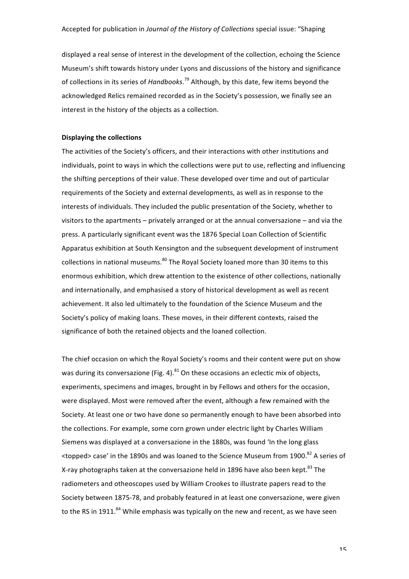displayed a real sense of interest in the development of the collection, echoing the Science Museum's shift towards history under Lyons and discussions of the history and significance of collections in its series of *Handbooks*.<sup>79</sup> Although, by this date, few items beyond the acknowledged Relics remained recorded as in the Society's possession, we finally see an interest in the history of the objects as a collection.

#### **Displaying the collections**

The activities of the Society's officers, and their interactions with other institutions and individuals, point to ways in which the collections were put to use, reflecting and influencing the shifting perceptions of their value. These developed over time and out of particular requirements of the Society and external developments, as well as in response to the interests of individuals. They included the public presentation of the Society, whether to visitors to the apartments  $-$  privately arranged or at the annual conversazione  $-$  and via the press. A particularly significant event was the 1876 Special Loan Collection of Scientific Apparatus exhibition at South Kensington and the subsequent development of instrument collections in national museums.<sup>80</sup> The Royal Society loaned more than 30 items to this enormous exhibition, which drew attention to the existence of other collections, nationally and internationally, and emphasised a story of historical development as well as recent achievement. It also led ultimately to the foundation of the Science Museum and the Society's policy of making loans. These moves, in their different contexts, raised the significance of both the retained objects and the loaned collection.

The chief occasion on which the Royal Society's rooms and their content were put on show was during its conversazione (Fig. 4). $81$  On these occasions an eclectic mix of objects, experiments, specimens and images, brought in by Fellows and others for the occasion, were displayed. Most were removed after the event, although a few remained with the Society. At least one or two have done so permanently enough to have been absorbed into the collections. For example, some corn grown under electric light by Charles William Siemens was displayed at a conversazione in the 1880s, was found 'In the long glass  $\leq$ topped> case' in the 1890s and was loaned to the Science Museum from 1900.<sup>82</sup> A series of X-ray photographs taken at the conversazione held in 1896 have also been kept.<sup>83</sup> The radiometers and otheoscopes used by William Crookes to illustrate papers read to the Society between 1875-78, and probably featured in at least one conversazione, were given to the RS in 1911.<sup>84</sup> While emphasis was typically on the new and recent, as we have seen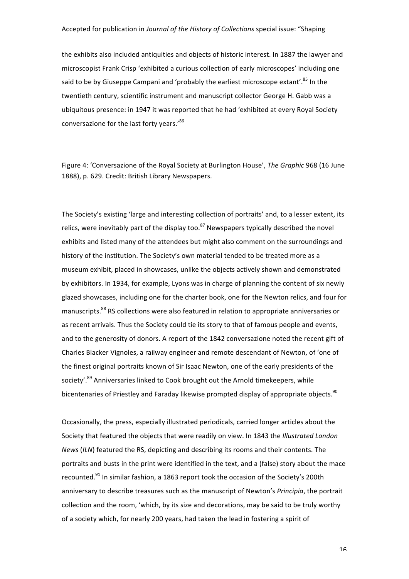the exhibits also included antiquities and objects of historic interest. In 1887 the lawyer and microscopist Frank Crisp 'exhibited a curious collection of early microscopes' including one said to be by Giuseppe Campani and 'probably the earliest microscope extant'.<sup>85</sup> In the twentieth century, scientific instrument and manuscript collector George H. Gabb was a ubiquitous presence: in 1947 it was reported that he had 'exhibited at every Royal Society conversazione for the last forty years.'86

Figure 4: 'Conversazione of the Royal Society at Burlington House', *The Graphic* 968 (16 June 1888), p. 629. Credit: British Library Newspapers.

The Society's existing 'large and interesting collection of portraits' and, to a lesser extent, its relics, were inevitably part of the display too. $87$  Newspapers typically described the novel exhibits and listed many of the attendees but might also comment on the surroundings and history of the institution. The Society's own material tended to be treated more as a museum exhibit, placed in showcases, unlike the objects actively shown and demonstrated by exhibitors. In 1934, for example, Lyons was in charge of planning the content of six newly glazed showcases, including one for the charter book, one for the Newton relics, and four for manuscripts.<sup>88</sup> RS collections were also featured in relation to appropriate anniversaries or as recent arrivals. Thus the Society could tie its story to that of famous people and events, and to the generosity of donors. A report of the 1842 conversazione noted the recent gift of Charles Blacker Vignoles, a railway engineer and remote descendant of Newton, of 'one of the finest original portraits known of Sir Isaac Newton, one of the early presidents of the society'.<sup>89</sup> Anniversaries linked to Cook brought out the Arnold timekeepers, while bicentenaries of Priestley and Faraday likewise prompted display of appropriate obiects.<sup>90</sup>

Occasionally, the press, especially illustrated periodicals, carried longer articles about the Society that featured the objects that were readily on view. In 1843 the *Illustrated London News* (ILN) featured the RS, depicting and describing its rooms and their contents. The portraits and busts in the print were identified in the text, and a (false) story about the mace recounted. $91$  In similar fashion, a 1863 report took the occasion of the Society's 200th anniversary to describe treasures such as the manuscript of Newton's Principia, the portrait collection and the room, 'which, by its size and decorations, may be said to be truly worthy of a society which, for nearly 200 years, had taken the lead in fostering a spirit of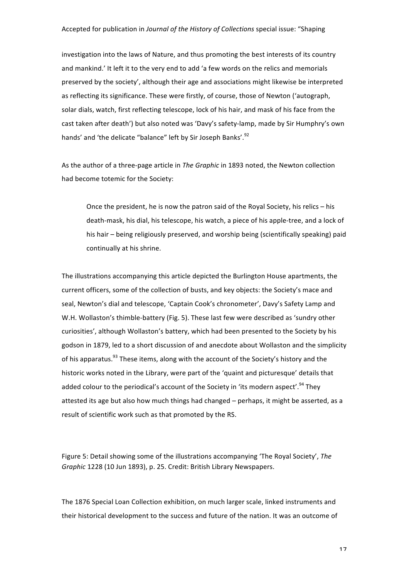investigation into the laws of Nature, and thus promoting the best interests of its country and mankind.' It left it to the very end to add 'a few words on the relics and memorials preserved by the society', although their age and associations might likewise be interpreted as reflecting its significance. These were firstly, of course, those of Newton ('autograph, solar dials, watch, first reflecting telescope, lock of his hair, and mask of his face from the cast taken after death') but also noted was 'Davy's safety-lamp, made by Sir Humphry's own hands' and 'the delicate "balance" left by Sir Joseph Banks'.<sup>92</sup>

As the author of a three-page article in *The Graphic* in 1893 noted, the Newton collection had become totemic for the Society:

Once the president, he is now the patron said of the Royal Society, his relics  $-$  his death-mask, his dial, his telescope, his watch, a piece of his apple-tree, and a lock of his hair – being religiously preserved, and worship being (scientifically speaking) paid continually at his shrine.

The illustrations accompanying this article depicted the Burlington House apartments, the current officers, some of the collection of busts, and key objects: the Society's mace and seal, Newton's dial and telescope, 'Captain Cook's chronometer', Davy's Safety Lamp and W.H. Wollaston's thimble-battery (Fig. 5). These last few were described as 'sundry other curiosities', although Wollaston's battery, which had been presented to the Society by his godson in 1879, led to a short discussion of and anecdote about Wollaston and the simplicity of his apparatus.<sup>93</sup> These items, along with the account of the Society's history and the historic works noted in the Library, were part of the 'quaint and picturesque' details that added colour to the periodical's account of the Society in 'its modern aspect'.<sup>94</sup> They attested its age but also how much things had changed – perhaps, it might be asserted, as a result of scientific work such as that promoted by the RS.

Figure 5: Detail showing some of the illustrations accompanying 'The Royal Society', The *Graphic* 1228 (10 Jun 1893), p. 25. Credit: British Library Newspapers.

The 1876 Special Loan Collection exhibition, on much larger scale, linked instruments and their historical development to the success and future of the nation. It was an outcome of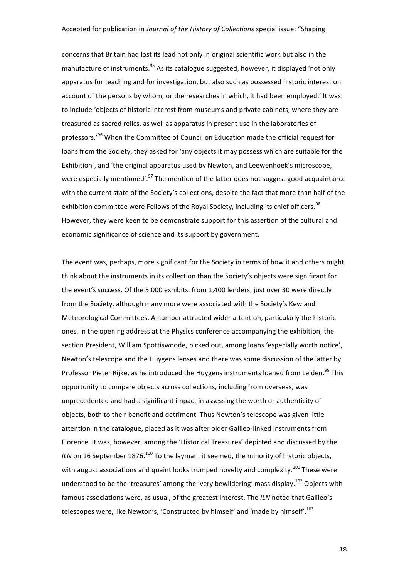concerns that Britain had lost its lead not only in original scientific work but also in the manufacture of instruments.<sup>95</sup> As its catalogue suggested, however, it displayed 'not only apparatus for teaching and for investigation, but also such as possessed historic interest on account of the persons by whom, or the researches in which, it had been employed.' It was to include 'objects of historic interest from museums and private cabinets, where they are treasured as sacred relics, as well as apparatus in present use in the laboratories of professors.'<sup>96</sup> When the Committee of Council on Education made the official request for loans from the Society, they asked for 'any objects it may possess which are suitable for the Exhibition', and 'the original apparatus used by Newton, and Leewenhoek's microscope, were especially mentioned'.<sup>97</sup> The mention of the latter does not suggest good acquaintance with the current state of the Society's collections, despite the fact that more than half of the exhibition committee were Fellows of the Royal Society, including its chief officers.<sup>98</sup> However, they were keen to be demonstrate support for this assertion of the cultural and economic significance of science and its support by government.

The event was, perhaps, more significant for the Society in terms of how it and others might think about the instruments in its collection than the Society's objects were significant for the event's success. Of the 5,000 exhibits, from 1,400 lenders, just over 30 were directly from the Society, although many more were associated with the Society's Kew and Meteorological Committees. A number attracted wider attention, particularly the historic ones. In the opening address at the Physics conference accompanying the exhibition, the section President, William Spottiswoode, picked out, among loans 'especially worth notice', Newton's telescope and the Huygens lenses and there was some discussion of the latter by Professor Pieter Rijke, as he introduced the Huygens instruments loaned from Leiden.<sup>99</sup> This opportunity to compare objects across collections, including from overseas, was unprecedented and had a significant impact in assessing the worth or authenticity of objects, both to their benefit and detriment. Thus Newton's telescope was given little attention in the catalogue, placed as it was after older Galileo-linked instruments from Florence. It was, however, among the 'Historical Treasures' depicted and discussed by the *ILN* on 16 September 1876.<sup>100</sup> To the layman, it seemed, the minority of historic objects, with august associations and quaint looks trumped novelty and complexity.<sup>101</sup> These were understood to be the 'treasures' among the 'very bewildering' mass display.<sup>102</sup> Objects with famous associations were, as usual, of the greatest interest. The ILN noted that Galileo's telescopes were, like Newton's, 'Constructed by himself' and 'made by himself'.<sup>103</sup>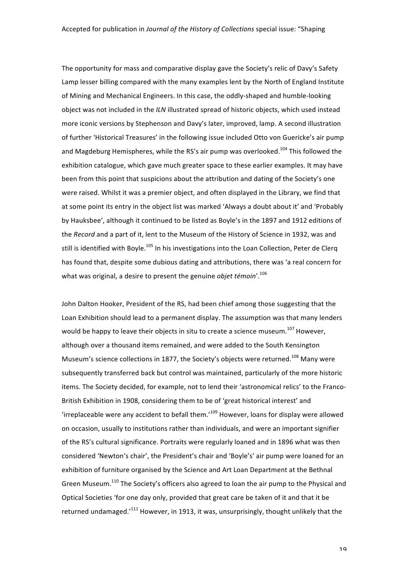The opportunity for mass and comparative display gave the Society's relic of Davy's Safety Lamp lesser billing compared with the many examples lent by the North of England Institute of Mining and Mechanical Engineers. In this case, the oddly-shaped and humble-looking object was not included in the *ILN* illustrated spread of historic objects, which used instead more iconic versions by Stephenson and Davy's later, improved, lamp. A second illustration of further 'Historical Treasures' in the following issue included Otto von Guericke's air pump and Magdeburg Hemispheres, while the RS's air pump was overlooked.<sup>104</sup> This followed the exhibition catalogue, which gave much greater space to these earlier examples. It may have been from this point that suspicions about the attribution and dating of the Society's one were raised. Whilst it was a premier object, and often displayed in the Library, we find that at some point its entry in the object list was marked 'Always a doubt about it' and 'Probably by Hauksbee', although it continued to be listed as Boyle's in the 1897 and 1912 editions of the *Record* and a part of it, lent to the Museum of the History of Science in 1932, was and still is identified with Boyle.<sup>105</sup> In his investigations into the Loan Collection, Peter de Clerq has found that, despite some dubious dating and attributions, there was 'a real concern for what was original, a desire to present the genuine *objet témoin'*.<sup>106</sup>

John Dalton Hooker, President of the RS, had been chief among those suggesting that the Loan Exhibition should lead to a permanent display. The assumption was that many lenders would be happy to leave their objects in situ to create a science museum.<sup>107</sup> However, although over a thousand items remained, and were added to the South Kensington Museum's science collections in 1877, the Society's objects were returned.<sup>108</sup> Many were subsequently transferred back but control was maintained, particularly of the more historic items. The Society decided, for example, not to lend their 'astronomical relics' to the Franco-British Exhibition in 1908, considering them to be of 'great historical interest' and 'irreplaceable were any accident to befall them.' $^{109}$  However, loans for display were allowed on occasion, usually to institutions rather than individuals, and were an important signifier of the RS's cultural significance. Portraits were regularly loaned and in 1896 what was then considered 'Newton's chair', the President's chair and 'Boyle's' air pump were loaned for an exhibition of furniture organised by the Science and Art Loan Department at the Bethnal Green Museum.<sup>110</sup> The Society's officers also agreed to loan the air pump to the Physical and Optical Societies 'for one day only, provided that great care be taken of it and that it be returned undamaged.'<sup>111</sup> However, in 1913, it was, unsurprisingly, thought unlikely that the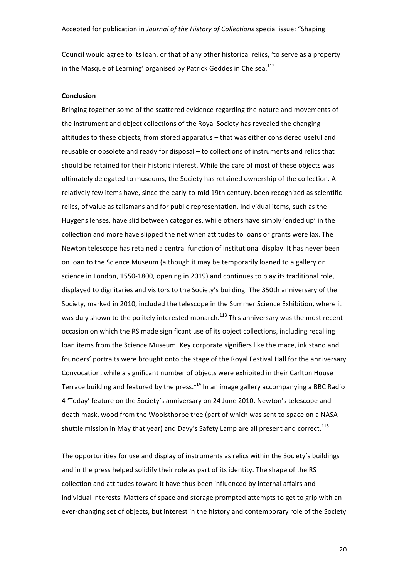Council would agree to its loan, or that of any other historical relics, 'to serve as a property in the Masque of Learning' organised by Patrick Geddes in Chelsea. $^{112}$ 

#### **Conclusion**

Bringing together some of the scattered evidence regarding the nature and movements of the instrument and object collections of the Royal Society has revealed the changing attitudes to these objects, from stored apparatus – that was either considered useful and reusable or obsolete and ready for disposal – to collections of instruments and relics that should be retained for their historic interest. While the care of most of these objects was ultimately delegated to museums, the Society has retained ownership of the collection. A relatively few items have, since the early-to-mid 19th century, been recognized as scientific relics, of value as talismans and for public representation. Individual items, such as the Huygens lenses, have slid between categories, while others have simply 'ended up' in the collection and more have slipped the net when attitudes to loans or grants were lax. The Newton telescope has retained a central function of institutional display. It has never been on loan to the Science Museum (although it may be temporarily loaned to a gallery on science in London, 1550-1800, opening in 2019) and continues to play its traditional role, displayed to dignitaries and visitors to the Society's building. The 350th anniversary of the Society, marked in 2010, included the telescope in the Summer Science Exhibition, where it was duly shown to the politely interested monarch.<sup>113</sup> This anniversary was the most recent occasion on which the RS made significant use of its object collections, including recalling loan items from the Science Museum. Key corporate signifiers like the mace, ink stand and founders' portraits were brought onto the stage of the Royal Festival Hall for the anniversary Convocation, while a significant number of objects were exhibited in their Carlton House Terrace building and featured by the press. $114$  In an image gallery accompanying a BBC Radio 4 'Today' feature on the Society's anniversary on 24 June 2010, Newton's telescope and death mask, wood from the Woolsthorpe tree (part of which was sent to space on a NASA shuttle mission in May that year) and Davy's Safety Lamp are all present and correct.<sup>115</sup>

The opportunities for use and display of instruments as relics within the Society's buildings and in the press helped solidify their role as part of its identity. The shape of the RS collection and attitudes toward it have thus been influenced by internal affairs and individual interests. Matters of space and storage prompted attempts to get to grip with an ever-changing set of objects, but interest in the history and contemporary role of the Society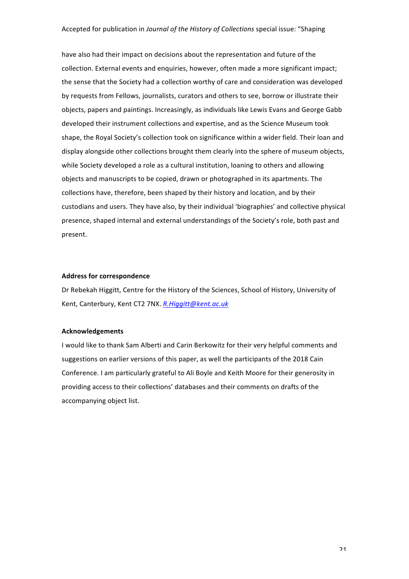have also had their impact on decisions about the representation and future of the collection. External events and enquiries, however, often made a more significant impact; the sense that the Society had a collection worthy of care and consideration was developed by requests from Fellows, journalists, curators and others to see, borrow or illustrate their objects, papers and paintings. Increasingly, as individuals like Lewis Evans and George Gabb developed their instrument collections and expertise, and as the Science Museum took shape, the Royal Society's collection took on significance within a wider field. Their loan and display alongside other collections brought them clearly into the sphere of museum objects, while Society developed a role as a cultural institution, loaning to others and allowing objects and manuscripts to be copied, drawn or photographed in its apartments. The collections have, therefore, been shaped by their history and location, and by their custodians and users. They have also, by their individual 'biographies' and collective physical presence, shaped internal and external understandings of the Society's role, both past and present. 

#### **Address for correspondence**

Dr Rebekah Higgitt, Centre for the History of the Sciences, School of History, University of Kent, Canterbury, Kent CT2 7NX. *R. Higgitt@kent.ac.uk* 

#### **Acknowledgements**

I would like to thank Sam Alberti and Carin Berkowitz for their very helpful comments and suggestions on earlier versions of this paper, as well the participants of the 2018 Cain Conference. I am particularly grateful to Ali Boyle and Keith Moore for their generosity in providing access to their collections' databases and their comments on drafts of the accompanying object list.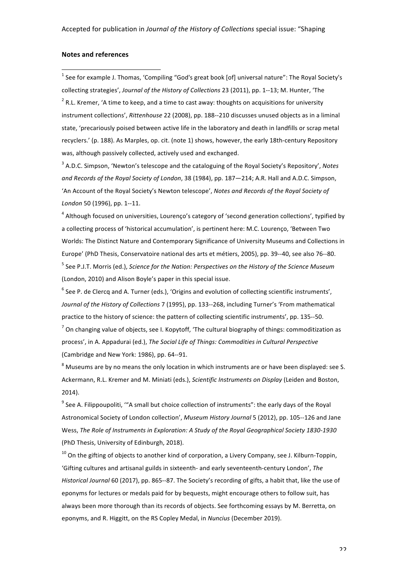#### **Notes and references**

!!!!!!!!!!!!!!!!!!!!!!!!!!!!!!!!!!!!!!!!!!!!!!!!!!!!!!!

 $^1$  See for example J. Thomas, 'Compiling "God's great book [of] universal nature": The Royal Society's collecting strategies', *Journal of the History of Collections* 23 (2011), pp. 1--13; M. Hunter, 'The  $2$  R.L. Kremer, 'A time to keep, and a time to cast away: thoughts on acquisitions for university instrument collections', Rittenhouse 22 (2008), pp. 188--210 discusses unused objects as in a liminal state, 'precariously poised between active life in the laboratory and death in landfills or scrap metal recyclers.' (p. 188). As Marples, op. cit. (note 1) shows, however, the early 18th-century Repository was, although passively collected, actively used and exchanged.

<sup>3</sup> A.D.C. Simpson, 'Newton's telescope and the cataloguing of the Royal Society's Repository', Notes and Records of the Royal Society of London, 38 (1984), pp. 187—214; A.R. Hall and A.D.C. Simpson, 'An Account of the Royal Society's Newton telescope', *Notes and Records of the Royal Society of* London 50 (1996), pp. 1--11.

<sup>4</sup> Although focused on universities, Lourenço's category of 'second generation collections', typified by a collecting process of 'historical accumulation', is pertinent here: M.C. Lourenço, 'Between Two Worlds: The Distinct Nature and Contemporary Significance of University Museums and Collections in Europe' (PhD Thesis, Conservatoire national des arts et métiers, 2005), pp. 39--40, see also 76--80. <sup>5</sup> See P.J.T. Morris (ed.), *Science for the Nation: Perspectives on the History of the Science Museum* (London, 2010) and Alison Boyle's paper in this special issue.

 $^6$  See P. de Clercq and A. Turner (eds.), 'Origins and evolution of collecting scientific instruments', Journal of the History of Collections 7 (1995), pp. 133--268, including Turner's 'From mathematical practice to the history of science: the pattern of collecting scientific instruments', pp. 135--50.  $^7$  On changing value of objects, see I. Kopytoff, 'The cultural biography of things: commoditization as process', in A. Appadurai (ed.), *The Social Life of Things: Commodities in Cultural Perspective* (Cambridge and New York: 1986), pp. 64--91.

 $8$  Museums are by no means the only location in which instruments are or have been displayed: see S. Ackermann, R.L. Kremer and M. Miniati (eds.), *Scientific Instruments on Display* (Leiden and Boston, 2014).

 $^9$  See A. Filippoupoliti, '"A small but choice collection of instruments": the early days of the Royal Astronomical Society of London collection', *Museum History Journal* 5 (2012), pp. 105--126 and Jane Wess, The Role of Instruments in Exploration: A Study of the Royal Geographical Society 1830-1930 (PhD Thesis, University of Edinburgh, 2018).

 $10$  On the gifting of objects to another kind of corporation, a Livery Company, see J. Kilburn-Toppin, 'Gifting cultures and artisanal guilds in sixteenth- and early seventeenth-century London', The *Historical Journal* 60 (2017), pp. 865--87. The Society's recording of gifts, a habit that, like the use of eponyms for lectures or medals paid for by bequests, might encourage others to follow suit, has always been more thorough than its records of objects. See forthcoming essays by M. Berretta, on eponyms, and R. Higgitt, on the RS Copley Medal, in *Nuncius* (December 2019).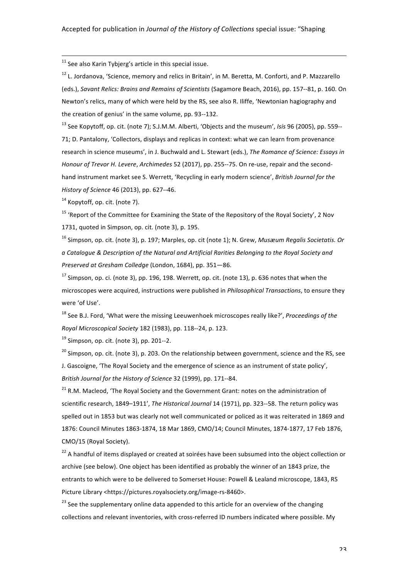$11$  See also Karin Tybjerg's article in this special issue.

 $12$  L. Jordanova, 'Science, memory and relics in Britain', in M. Beretta, M. Conforti, and P. Mazzarello (eds.), *Savant Relics: Brains and Remains of Scientists* (Sagamore Beach, 2016), pp. 157--81, p. 160. On Newton's relics, many of which were held by the RS, see also R. Iliffe, 'Newtonian hagiography and the creation of genius' in the same volume, pp. 93--132.

!!!!!!!!!!!!!!!!!!!!!!!!!!!!!!!!!!!!!!!!!!!!!!!!!!!!!!!!!!!!!!!!!!!!!!!!!!!!!!!!!!!!!!!!!!!!!!!!!!!!!!!!!!!!!!!!!!!!!!!!!!!!!!!!!!!!!!!!!!!!!!!!!!!!!!!!!!!!!!

<sup>13</sup> See Kopytoff, op. cit. (note 7); S.J.M.M. Alberti, 'Objects and the museum', *Isis* 96 (2005), pp. 559--71; D. Pantalony, 'Collectors, displays and replicas in context: what we can learn from provenance research in science museums', in J. Buchwald and L. Stewart (eds.), The Romance of Science: Essays in *Honour of Trevor H. Levere, Archimedes* 52 (2017), pp. 255--75. On re-use, repair and the secondhand instrument market see S. Werrett, 'Recycling in early modern science', *British Journal for the History of Science* 46 (2013), pp. 627--46.

 $14$  Kopytoff, op. cit. (note 7).

<sup>15</sup> 'Report of the Committee for Examining the State of the Repository of the Royal Society', 2 Nov 1731, quoted in Simpson, op. cit. (note 3), p. 195.

<sup>16</sup> Simpson, op. cit. (note 3), p. 197; Marples, op. cit (note 1); N. Grew, *Musæum Regalis Societatis. Or a Catalogue & Description of the Natural and Artificial Rarities Belonging to the Royal Society and Preserved at Gresham Colledge* (London, 1684), pp. 351-86.

 $17$  Simpson, op. ci. (note 3), pp. 196, 198. Werrett, op. cit. (note 13), p. 636 notes that when the microscopes were acquired, instructions were published in *Philosophical Transactions*, to ensure they were 'of Use'.

<sup>18</sup> See B.J. Ford, 'What were the missing Leeuwenhoek microscopes really like?', *Proceedings of the Royal Microscopical Society* 182 (1983), pp. 118--24, p. 123. 

 $19$  Simpson, op. cit. (note 3), pp. 201--2.

 $20$  Simpson, op. cit. (note 3), p. 203. On the relationship between government, science and the RS, see J. Gascoigne, 'The Royal Society and the emergence of science as an instrument of state policy', *British Journal for the History of Science* 32 (1999), pp. 171--84.

 $21$  R.M. Macleod, 'The Royal Society and the Government Grant: notes on the administration of scientific research, 1849-1911', *The Historical Journal* 14 (1971), pp. 323--58. The return policy was spelled out in 1853 but was clearly not well communicated or policed as it was reiterated in 1869 and 1876: Council Minutes 1863-1874, 18 Mar 1869, CMO/14; Council Minutes, 1874-1877, 17 Feb 1876, CMO/15 (Royal Society).

<sup>22</sup> A handful of items displayed or created at soirées have been subsumed into the object collection or archive (see below). One object has been identified as probably the winner of an 1843 prize, the entrants to which were to be delivered to Somerset House: Powell & Lealand microscope, 1843, RS Picture Library <https://pictures.royalsociety.org/image-rs-8460>.

 $23$  See the supplementary online data appended to this article for an overview of the changing collections and relevant inventories, with cross-referred ID numbers indicated where possible. My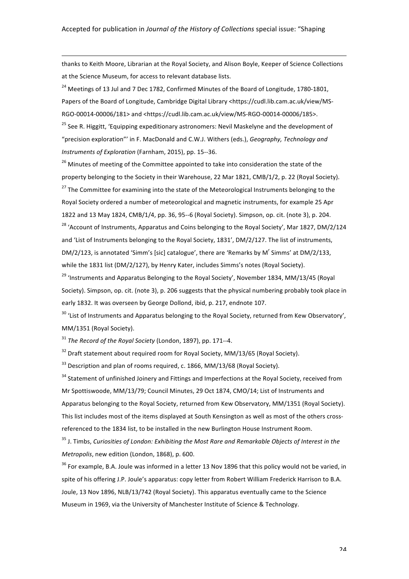thanks to Keith Moore, Librarian at the Royal Society, and Alison Boyle, Keeper of Science Collections at the Science Museum, for access to relevant database lists.

!!!!!!!!!!!!!!!!!!!!!!!!!!!!!!!!!!!!!!!!!!!!!!!!!!!!!!!!!!!!!!!!!!!!!!!!!!!!!!!!!!!!!!!!!!!!!!!!!!!!!!!!!!!!!!!!!!!!!!!!!!!!!!!!!!!!!!!!!!!!!!!!!!!!!!!!!!!!!!

 $^{24}$  Meetings of 13 Jul and 7 Dec 1782, Confirmed Minutes of the Board of Longitude, 1780-1801, Papers of the Board of Longitude, Cambridge Digital Library <https://cudl.lib.cam.ac.uk/view/MS-RGO-00014-00006/181> and <https://cudl.lib.cam.ac.uk/view/MS-RGO-00014-00006/185>.

<sup>25</sup> See R. Higgitt, 'Equipping expeditionary astronomers: Nevil Maskelyne and the development of "precision exploration"' in F. MacDonald and C.W.J. Withers (eds.), *Geography, Technology and Instruments of Exploration* (Farnham, 2015), pp. 15--36.

 $26$  Minutes of meeting of the Committee appointed to take into consideration the state of the property belonging to the Society in their Warehouse, 22 Mar 1821, CMB/1/2, p. 22 (Royal Society).  $27$  The Committee for examining into the state of the Meteorological Instruments belonging to the Royal Society ordered a number of meteorological and magnetic instruments, for example 25 Apr 1822 and 13 May 1824, CMB/1/4, pp. 36, 95--6 (Royal Society). Simpson, op. cit. (note 3), p. 204. <sup>28</sup> 'Account of Instruments, Apparatus and Coins belonging to the Royal Society', Mar 1827, DM/2/124 and 'List of Instruments belonging to the Royal Society, 1831', DM/2/127. The list of instruments, DM/2/123, is annotated 'Simm's [sic] catalogue', there are 'Remarks by M<sup>r</sup> Simms' at DM/2/133, while the 1831 list (DM/2/127), by Henry Kater, includes Simms's notes (Royal Society).

 $29$  'Instruments and Apparatus Belonging to the Royal Society', November 1834, MM/13/45 (Royal Society). Simpson, op. cit. (note 3), p. 206 suggests that the physical numbering probably took place in early 1832. It was overseen by George Dollond, ibid, p. 217, endnote 107.

<sup>30</sup> 'List of Instruments and Apparatus belonging to the Royal Society, returned from Kew Observatory'. MM/1351 (Royal Society).

<sup>31</sup> *The Record of the Royal Society* (London, 1897), pp. 171--4.

 $32$  Draft statement about required room for Royal Society, MM/13/65 (Royal Society).

 $33$  Description and plan of rooms required, c. 1866, MM/13/68 (Royal Society).

<sup>34</sup> Statement of unfinished Joinery and Fittings and Imperfections at the Royal Society, received from Mr Spottiswoode, MM/13/79; Council Minutes, 29 Oct 1874, CMO/14; List of Instruments and Apparatus belonging to the Royal Society, returned from Kew Observatory, MM/1351 (Royal Society). This list includes most of the items displayed at South Kensington as well as most of the others crossreferenced to the 1834 list, to be installed in the new Burlington House Instrument Room.

<sup>35</sup> J. Timbs, Curiosities of London: Exhibiting the Most Rare and Remarkable Objects of Interest in the *Metropolis*, new edition (London, 1868), p. 600.

 $36$  For example, B.A. Joule was informed in a letter 13 Nov 1896 that this policy would not be varied, in spite of his offering J.P. Joule's apparatus: copy letter from Robert William Frederick Harrison to B.A. Joule, 13 Nov 1896, NLB/13/742 (Royal Society). This apparatus eventually came to the Science Museum in 1969, via the University of Manchester Institute of Science & Technology.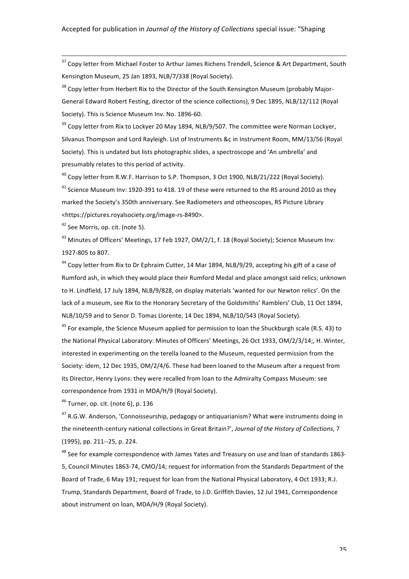<sup>37</sup> Copy letter from Michael Foster to Arthur James Richens Trendell, Science & Art Department, South Kensington Museum, 25 Jan 1893, NLB/7/338 (Royal Society).

!!!!!!!!!!!!!!!!!!!!!!!!!!!!!!!!!!!!!!!!!!!!!!!!!!!!!!!!!!!!!!!!!!!!!!!!!!!!!!!!!!!!!!!!!!!!!!!!!!!!!!!!!!!!!!!!!!!!!!!!!!!!!!!!!!!!!!!!!!!!!!!!!!!!!!!!!!!!!!

<sup>38</sup> Copy letter from Herbert Rix to the Director of the South Kensington Museum (probably Major-General Edward Robert Festing, director of the science collections), 9 Dec 1895, NLB/12/112 (Royal Society). This is Science Museum Inv. No. 1896-60.

 $39$  Copy letter from Rix to Lockyer 20 May 1894, NLB/9/507. The committee were Norman Lockyer, Silvanus Thompson and Lord Rayleigh. List of Instruments &c in Instrument Room, MM/13/56 (Royal Society). This is undated but lists photographic slides, a spectroscope and 'An umbrella' and presumably relates to this period of activity.

<sup>40</sup> Copy letter from R.W.F. Harrison to S.P. Thompson, 3 Oct 1900, NLB/21/222 (Royal Society).

<sup>41</sup> Science Museum Inv: 1920-391 to 418. 19 of these were returned to the RS around 2010 as they marked the Society's 350th anniversary. See Radiometers and otheoscopes, RS Picture Library <https://pictures.royalsociety.org/image-rs-8490>.

 $42$  See Morris, op. cit. (note 5).

<sup>43</sup> Minutes of Officers' Meetings, 17 Feb 1927, OM/2/1, f. 18 (Royal Society); Science Museum Inv: 1927-805 to 807.

<sup>44</sup> Copy letter from Rix to Dr Ephraim Cutter, 14 Mar 1894, NLB/9/29, accepting his gift of a case of Rumford ash, in which they would place their Rumford Medal and place amongst said relics; unknown to H. Lindfield, 17 July 1894, NLB/9/828, on display materials 'wanted for our Newton relics'. On the lack of a museum, see Rix to the Honorary Secretary of the Goldsmiths' Ramblers' Club, 11 Oct 1894, NLB/10/59 and to Senor D. Tomas Llorente, 14 Dec 1894, NLB/10/543 (Royal Society).

 $45$  For example, the Science Museum applied for permission to loan the Shuckburgh scale (R.S. 43) to the National Physical Laboratory: Minutes of Officers' Meetings, 26 Oct 1933, OM/2/3/14;, H. Winter, interested in experimenting on the terella loaned to the Museum, requested permission from the Society: idem, 12 Dec 1935, OM/2/4/6. These had been loaned to the Museum after a request from its Director, Henry Lyons: they were recalled from loan to the Admiralty Compass Museum: see correspondence from 1931 in MDA/H/9 (Royal Society).

 $46$  Turner, op. cit. (note 6), p. 136

<sup>47</sup> R.G.W. Anderson, 'Connoisseurship, pedagogy or antiquarianism? What were instruments doing in the nineteenth-century national collections in Great Britain?', Journal of the History of Collections, 7 (1995), pp. 211--25, p. 224.

<sup>48</sup> See for example correspondence with James Yates and Treasury on use and loan of standards 1863-5, Council Minutes 1863-74, CMO/14; request for information from the Standards Department of the Board of Trade, 6 May 191; request for loan from the National Physical Laboratory, 4 Oct 1933; R.J. Trump, Standards Department, Board of Trade, to J.D. Griffith Davies, 12 Jul 1941, Correspondence about instrument on loan, MDA/H/9 (Royal Society).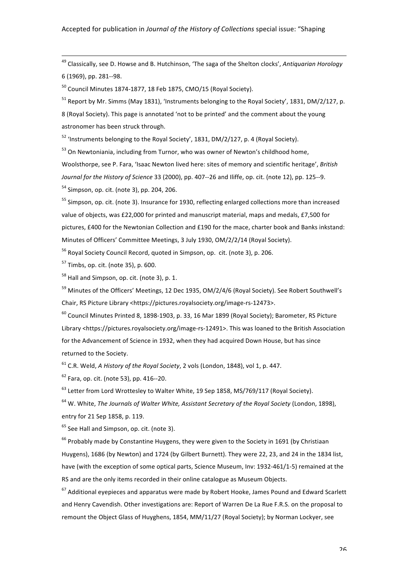<sup>49</sup> Classically, see D. Howse and B. Hutchinson, 'The saga of the Shelton clocks', *Antiquarian Horology* 6 (1969), pp. 281--98.

!!!!!!!!!!!!!!!!!!!!!!!!!!!!!!!!!!!!!!!!!!!!!!!!!!!!!!!!!!!!!!!!!!!!!!!!!!!!!!!!!!!!!!!!!!!!!!!!!!!!!!!!!!!!!!!!!!!!!!!!!!!!!!!!!!!!!!!!!!!!!!!!!!!!!!!!!!!!!!

 $50$  Council Minutes 1874-1877, 18 Feb 1875, CMO/15 (Royal Society).

 $51$  Report by Mr. Simms (May 1831), 'Instruments belonging to the Royal Society', 1831, DM/2/127, p.

8 (Royal Society). This page is annotated 'not to be printed' and the comment about the young astronomer has been struck through.

 $52$  'Instruments belonging to the Royal Society', 1831, DM/2/127, p. 4 (Royal Society).

 $53$  On Newtoniania, including from Turnor, who was owner of Newton's childhood home,

Woolsthorpe, see P. Fara, 'Isaac Newton lived here: sites of memory and scientific heritage', *British* Journal for the History of Science 33 (2000), pp. 407--26 and Iliffe, op. cit. (note 12), pp. 125--9.  $54$  Simpson, op. cit. (note 3), pp. 204, 206.

<sup>55</sup> Simpson, op. cit. (note 3). Insurance for 1930, reflecting enlarged collections more than increased value of objects, was £22,000 for printed and manuscript material, maps and medals, £7,500 for pictures, £400 for the Newtonian Collection and £190 for the mace, charter book and Banks inkstand: Minutes of Officers' Committee Meetings, 3 July 1930, OM/2/2/14 (Royal Society).

 $56$  Royal Society Council Record, quoted in Simpson, op. cit. (note 3), p. 206.

 $57$  Timbs, op. cit. (note 35), p. 600.

 $58$  Hall and Simpson, op. cit. (note 3), p. 1.

 $59$  Minutes of the Officers' Meetings, 12 Dec 1935, OM/2/4/6 (Royal Society). See Robert Southwell's Chair, RS Picture Library <https://pictures.royalsociety.org/image-rs-12473>.

 $^{60}$  Council Minutes Printed 8, 1898-1903, p. 33, 16 Mar 1899 (Royal Society); Barometer, RS Picture Library <https://pictures.royalsociety.org/image-rs-12491>. This was loaned to the British Association for the Advancement of Science in 1932, when they had acquired Down House, but has since returned to the Society.

 $61$  C.R. Weld, *A History of the Royal Society*, 2 vols (London, 1848), vol 1, p. 447.

 $62$  Fara, op. cit. (note 53), pp. 416--20.

 $^{63}$  Letter from Lord Wrottesley to Walter White, 19 Sep 1858, MS/769/117 (Royal Society).

<sup>64</sup> W. White, *The Journals of Walter White, Assistant Secretary of the Royal Society* (London, 1898), entry for 21 Sep 1858, p. 119.

 $65$  See Hall and Simpson, op. cit. (note 3).

 $66$  Probably made by Constantine Huygens, they were given to the Society in 1691 (by Christiaan Huygens), 1686 (by Newton) and 1724 (by Gilbert Burnett). They were 22, 23, and 24 in the 1834 list, have (with the exception of some optical parts, Science Museum, Inv: 1932-461/1-5) remained at the RS and are the only items recorded in their online catalogue as Museum Objects.

 $67$  Additional eyepieces and apparatus were made by Robert Hooke, James Pound and Edward Scarlett and Henry Cavendish. Other investigations are: Report of Warren De La Rue F.R.S. on the proposal to remount the Object Glass of Huyghens, 1854, MM/11/27 (Royal Society); by Norman Lockyer, see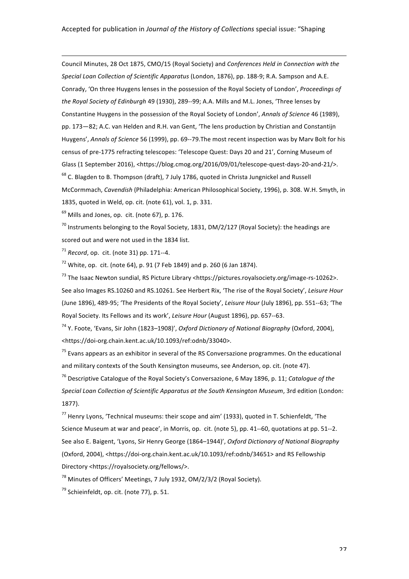!!!!!!!!!!!!!!!!!!!!!!!!!!!!!!!!!!!!!!!!!!!!!!!!!!!!!!!!!!!!!!!!!!!!!!!!!!!!!!!!!!!!!!!!!!!!!!!!!!!!!!!!!!!!!!!!!!!!!!!!!!!!!!!!!!!!!!!!!!!!!!!!!!!!!!!!!!!!!!

Council Minutes, 28 Oct 1875, CMO/15 (Royal Society) and *Conferences Held in Connection with the* Special Loan Collection of Scientific Apparatus (London, 1876), pp. 188-9; R.A. Sampson and A.E. Conrady, 'On three Huygens lenses in the possession of the Royal Society of London', *Proceedings of* the Royal Society of Edinburgh 49 (1930), 289--99; A.A. Mills and M.L. Jones, 'Three lenses by Constantine Huygens in the possession of the Royal Society of London', *Annals of Science* 46 (1989), pp. 173–82; A.C. van Helden and R.H. van Gent, 'The lens production by Christian and Constantijn Huygens', Annals of Science 56 (1999), pp. 69--79. The most recent inspection was by Marv Bolt for his census of pre-1775 refracting telescopes: 'Telescope Quest: Days 20 and 21', Corning Museum of Glass (1 September 2016), <https://blog.cmog.org/2016/09/01/telescope-quest-days-20-and-21/>.  $68$  C. Blagden to B. Thompson (draft), 7 July 1786, quoted in Christa Jungnickel and Russell McCormmach, *Cavendish* (Philadelphia: American Philosophical Society, 1996), p. 308. W.H. Smyth, in 1835, quoted in Weld, op. cit. (note 61), vol. 1, p. 331.

 $69$  Mills and Jones, op. cit. (note 67), p. 176.

 $70$  Instruments belonging to the Royal Society, 1831, DM/2/127 (Royal Society): the headings are scored out and were not used in the 1834 list.

 $71$  *Record.* op. cit. (note 31) pp. 171--4.

 $72$  White, op. cit. (note 64), p. 91 (7 Feb 1849) and p. 260 (6 Jan 1874).

 $^{73}$  The Isaac Newton sundial, RS Picture Library <https://pictures.royalsociety.org/image-rs-10262>. See also Images RS.10260 and RS.10261. See Herbert Rix, 'The rise of the Royal Society', *Leisure Hour* (June 1896), 489-95; 'The Presidents of the Royal Society', *Leisure Hour* (July 1896), pp. 551--63; 'The Royal Society. Its Fellows and its work', *Leisure Hour* (August 1896), pp. 657--63.

<sup>74</sup> Y. Foote, 'Evans, Sir John (1823–1908)', *Oxford Dictionary of National Biography* (Oxford, 2004), <https://doi-org.chain.kent.ac.uk/10.1093/ref:odnb/33040>.

 $75$  Evans appears as an exhibitor in several of the RS Conversazione programmes. On the educational and military contexts of the South Kensington museums, see Anderson, op. cit. (note 47).

<sup>76</sup> Descriptive Catalogue of the Royal Society's Conversazione, 6 May 1896, p. 11; *Catalogue of the* Special Loan Collection of Scientific Apparatus at the South Kensington Museum, 3rd edition (London: 1877). 

 $177$  Henry Lyons, 'Technical museums: their scope and aim' (1933), quoted in T. Schienfeldt, 'The Science Museum at war and peace', in Morris, op. cit. (note 5), pp. 41--60, quotations at pp. 51--2. See also E. Baigent, 'Lyons, Sir Henry George (1864–1944)', *Oxford Dictionary of National Biography* (Oxford, 2004), <https://doi-org.chain.kent.ac.uk/10.1093/ref:odnb/34651> and RS Fellowship Directory <https://royalsociety.org/fellows/>.

 $78$  Minutes of Officers' Meetings, 7 July 1932, OM/2/3/2 (Royal Society).

 $79$  Schieinfeldt, op. cit. (note 77), p. 51.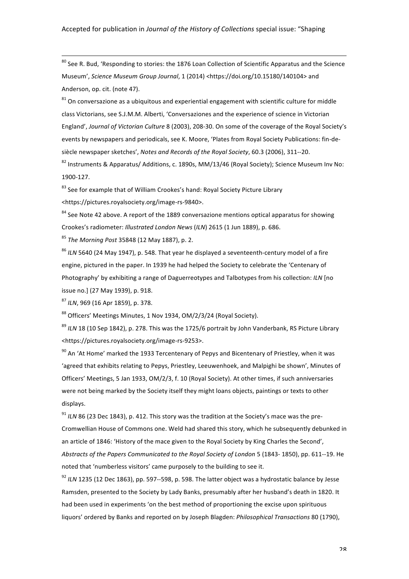$80$  See R. Bud. 'Responding to stories: the 1876 Loan Collection of Scientific Apparatus and the Science Museum', *Science Museum Group Journal*, 1 (2014) <https://doi.org/10.15180/140104> and Anderson, op. cit. (note 47).

!!!!!!!!!!!!!!!!!!!!!!!!!!!!!!!!!!!!!!!!!!!!!!!!!!!!!!!!!!!!!!!!!!!!!!!!!!!!!!!!!!!!!!!!!!!!!!!!!!!!!!!!!!!!!!!!!!!!!!!!!!!!!!!!!!!!!!!!!!!!!!!!!!!!!!!!!!!!!!

 $81$  On conversazione as a ubiquitous and experiential engagement with scientific culture for middle class Victorians, see S.J.M.M. Alberti, 'Conversaziones and the experience of science in Victorian England', *Journal of Victorian Culture* 8 (2003), 208-30. On some of the coverage of the Royal Society's events by newspapers and periodicals, see K. Moore, 'Plates from Royal Society Publications: fin-desiècle newspaper sketches', *Notes and Records of the Royal Society*, 60.3 (2006), 311--20.

 $82$  Instruments & Apparatus/ Additions, c. 1890s, MM/13/46 (Royal Society); Science Museum Inv No: 1900-127.

<sup>83</sup> See for example that of William Crookes's hand: Royal Society Picture Library <https://pictures.royalsociety.org/image-rs-9840>. 

 $84$  See Note 42 above. A report of the 1889 conversazione mentions optical apparatus for showing Crookes's radiometer: *Illustrated London News (ILN)* 2615 (1 Jun 1889), p. 686.

<sup>85</sup> The Morning Post 35848 (12 May 1887), p. 2.

<sup>86</sup> ILN 5640 (24 May 1947), p. 548. That year he displayed a seventeenth-century model of a fire engine, pictured in the paper. In 1939 he had helped the Society to celebrate the 'Centenary of Photography' by exhibiting a range of Daguerreotypes and Talbotypes from his collection: *ILN* [no] issue no.] (27 May 1939), p. 918.

<sup>87</sup> ILN, 969 (16 Apr 1859), p. 378.

88 Officers' Meetings Minutes, 1 Nov 1934, OM/2/3/24 (Royal Society).

<sup>89</sup> ILN 18 (10 Sep 1842), p. 278. This was the 1725/6 portrait by John Vanderbank, RS Picture Library <https://pictures.royalsociety.org/image-rs-9253>.

 $90$  An 'At Home' marked the 1933 Tercentenary of Pepys and Bicentenary of Priestley, when it was 'agreed that exhibits relating to Pepys, Priestley, Leeuwenhoek, and Malpighi be shown', Minutes of Officers' Meetings, 5 Jan 1933, OM/2/3, f. 10 (Royal Society). At other times, if such anniversaries were not being marked by the Society itself they might loans objects, paintings or texts to other displays. 

 $91$  *ILN* 86 (23 Dec 1843), p. 412. This story was the tradition at the Society's mace was the pre-Cromwellian House of Commons one. Weld had shared this story, which he subsequently debunked in an article of 1846: 'History of the mace given to the Royal Society by King Charles the Second', Abstracts of the Papers Communicated to the Royal Society of London 5 (1843- 1850), pp. 611--19. He noted that 'numberless visitors' came purposely to the building to see it.

<sup>92</sup> ILN 1235 (12 Dec 1863), pp. 597--598, p. 598. The latter object was a hydrostatic balance by Jesse Ramsden, presented to the Society by Lady Banks, presumably after her husband's death in 1820. It had been used in experiments 'on the best method of proportioning the excise upon spirituous liquors' ordered by Banks and reported on by Joseph Blagden: *Philosophical Transactions* 80 (1790),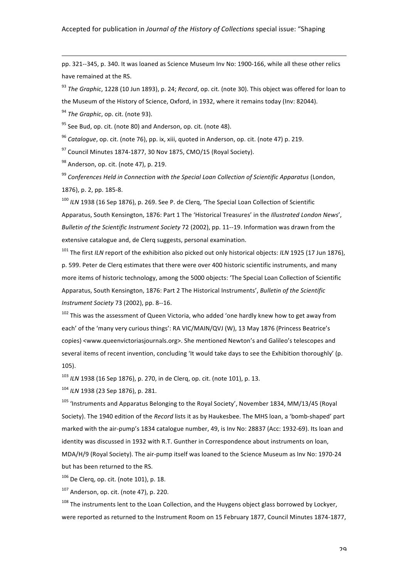pp. 321--345, p. 340. It was loaned as Science Museum Inv No: 1900-166, while all these other relics have remained at the RS.

!!!!!!!!!!!!!!!!!!!!!!!!!!!!!!!!!!!!!!!!!!!!!!!!!!!!!!!!!!!!!!!!!!!!!!!!!!!!!!!!!!!!!!!!!!!!!!!!!!!!!!!!!!!!!!!!!!!!!!!!!!!!!!!!!!!!!!!!!!!!!!!!!!!!!!!!!!!!!!

<sup>93</sup> The Graphic, 1228 (10 Jun 1893), p. 24; Record, op. cit. (note 30). This object was offered for loan to the Museum of the History of Science, Oxford, in 1932, where it remains today (Inv: 82044).

<sup>94</sup> The Graphic, op. cit. (note 93).

 $95$  See Bud, op. cit. (note 80) and Anderson, op. cit. (note 48).

<sup>96</sup> *Cataloque*, op. cit. (note 76), pp. ix, xiii, quoted in Anderson, op. cit. (note 47) p. 219.

 $97$  Council Minutes 1874-1877, 30 Nov 1875, CMO/15 (Royal Society).

 $98$  Anderson, op. cit. (note 47), p. 219.

<sup>99</sup> Conferences Held in Connection with the Special Loan Collection of Scientific Apparatus (London, 1876), p. 2, pp. 185-8.

<sup>100</sup> ILN 1938 (16 Sep 1876), p. 269. See P. de Clerq, 'The Special Loan Collection of Scientific Apparatus, South Kensington, 1876: Part 1 The 'Historical Treasures' in the *Illustrated London News'*, *Bulletin of the Scientific Instrument Society* 72 (2002), pp. 11--19. Information was drawn from the extensive catalogue and, de Clerq suggests, personal examination.

<sup>101</sup> The first *ILN* report of the exhibition also picked out only historical objects: *ILN* 1925 (17 Jun 1876), p. 599. Peter de Clerq estimates that there were over 400 historic scientific instruments, and many more items of historic technology, among the 5000 objects: 'The Special Loan Collection of Scientific Apparatus, South Kensington, 1876: Part 2 The Historical Instruments', Bulletin of the Scientific *Instrument Society* 73 (2002), pp. 8--16.

 $102$  This was the assessment of Queen Victoria, who added 'one hardly knew how to get away from each' of the 'many very curious things': RA VIC/MAIN/QVJ (W), 13 May 1876 (Princess Beatrice's copies) <www.queenvictoriasjournals.org>. She mentioned Newton's and Galileo's telescopes and several items of recent invention, concluding 'It would take days to see the Exhibition thoroughly' (p. 105).

<sup>103</sup> ILN 1938 (16 Sep 1876), p. 270, in de Clerq, op. cit. (note 101), p. 13.

<sup>104</sup> *ILN* 1938 (23 Sep 1876), p. 281.

<sup>105</sup> 'Instruments and Apparatus Belonging to the Royal Society', November 1834, MM/13/45 (Royal Society). The 1940 edition of the *Record* lists it as by Haukesbee. The MHS loan, a 'bomb-shaped' part marked with the air-pump's 1834 catalogue number, 49, is Inv No: 28837 (Acc: 1932-69). Its loan and identity was discussed in 1932 with R.T. Gunther in Correspondence about instruments on loan, MDA/H/9 (Royal Society). The air-pump itself was loaned to the Science Museum as Inv No: 1970-24 but has been returned to the RS.

 $106$  De Clerq, op. cit. (note 101), p. 18.

 $107$  Anderson, op. cit. (note 47), p. 220.

<sup>108</sup> The instruments lent to the Loan Collection, and the Huygens object glass borrowed by Lockyer, were reported as returned to the Instrument Room on 15 February 1877, Council Minutes 1874-1877,